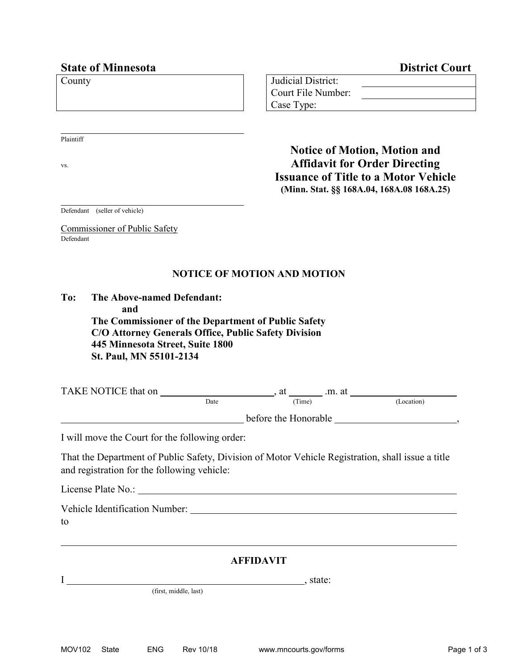| <b>State of Minnesota</b> | <b>District Court</b>                       |
|---------------------------|---------------------------------------------|
| County                    | Judicial District:                          |
|                           | Court File Number:                          |
|                           | Case Type:                                  |
|                           |                                             |
| Plaintiff                 |                                             |
|                           | <b>Notice of Motion, Motion and</b>         |
| VS.                       | <b>Affidavit for Order Directing</b>        |
|                           | <b>Issuance of Title to a Motor Vehicle</b> |

**(Minn. Stat. §§ 168A.04, 168A.08 168A.25)**

Defendant (seller of vehicle)

Commissioner of Public Safety Defendant

## **NOTICE OF MOTION AND MOTION**

| To: | The Above-named Defendant:                           |
|-----|------------------------------------------------------|
|     | and                                                  |
|     | The Commissioner of the Department of Public Safety  |
|     | C/O Attorney Generals Office, Public Safety Division |
|     | 445 Minnesota Street, Suite 1800                     |
|     | St. Paul, MN 55101-2134                              |
|     |                                                      |

| TAKE NOTICE that on |      | .m. at<br>at         |            |
|---------------------|------|----------------------|------------|
|                     | Date | (Time)               | (Location) |
|                     |      | before the Honorable |            |

I will move the Court for the following order:

That the Department of Public Safety, Division of Motor Vehicle Registration, shall issue a title and registration for the following vehicle:

| License Plate No.: |  |  |
|--------------------|--|--|
|                    |  |  |

| Vehicle Identification Number: |  |
|--------------------------------|--|
|--------------------------------|--|

to

## **AFFIDAVIT**

(first, middle, last)

I , state: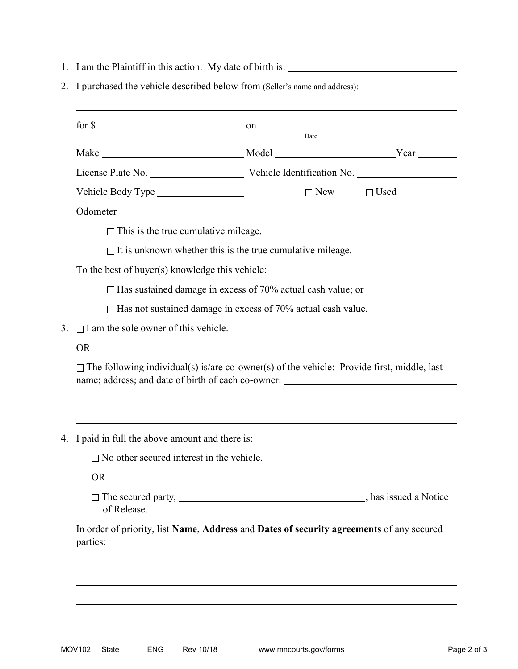|                                                                    |                                                  | $for $ 8 \qquad \qquad \text{on} \qquad \qquad \text{on}$                                         |             |
|--------------------------------------------------------------------|--------------------------------------------------|---------------------------------------------------------------------------------------------------|-------------|
|                                                                    |                                                  | Date                                                                                              |             |
|                                                                    |                                                  | Make Nature Note Note 2 Noted Note 2 November 2014                                                |             |
|                                                                    |                                                  |                                                                                                   |             |
|                                                                    |                                                  | $\Box$ New                                                                                        | $\Box$ Used |
|                                                                    | Odometer                                         |                                                                                                   |             |
|                                                                    | $\Box$ This is the true cumulative mileage.      |                                                                                                   |             |
|                                                                    |                                                  | $\Box$ It is unknown whether this is the true cumulative mileage.                                 |             |
| To the best of buyer(s) knowledge this vehicle:                    |                                                  |                                                                                                   |             |
| $\Box$ Has sustained damage in excess of 70% actual cash value; or |                                                  |                                                                                                   |             |
|                                                                    |                                                  | $\Box$ Has not sustained damage in excess of 70% actual cash value.                               |             |
| $\Box$ I am the sole owner of this vehicle.<br>3.                  |                                                  |                                                                                                   |             |
| <b>OR</b>                                                          |                                                  |                                                                                                   |             |
|                                                                    |                                                  | $\Box$ The following individual(s) is/are co-owner(s) of the vehicle: Provide first, middle, last |             |
|                                                                    |                                                  |                                                                                                   |             |
|                                                                    | 4. I paid in full the above amount and there is: |                                                                                                   |             |
|                                                                    | $\Box$ No other secured interest in the vehicle. |                                                                                                   |             |
|                                                                    | <b>OR</b>                                        |                                                                                                   |             |
|                                                                    | of Release.                                      |                                                                                                   |             |
|                                                                    | parties:                                         | In order of priority, list Name, Address and Dates of security agreements of any secured          |             |